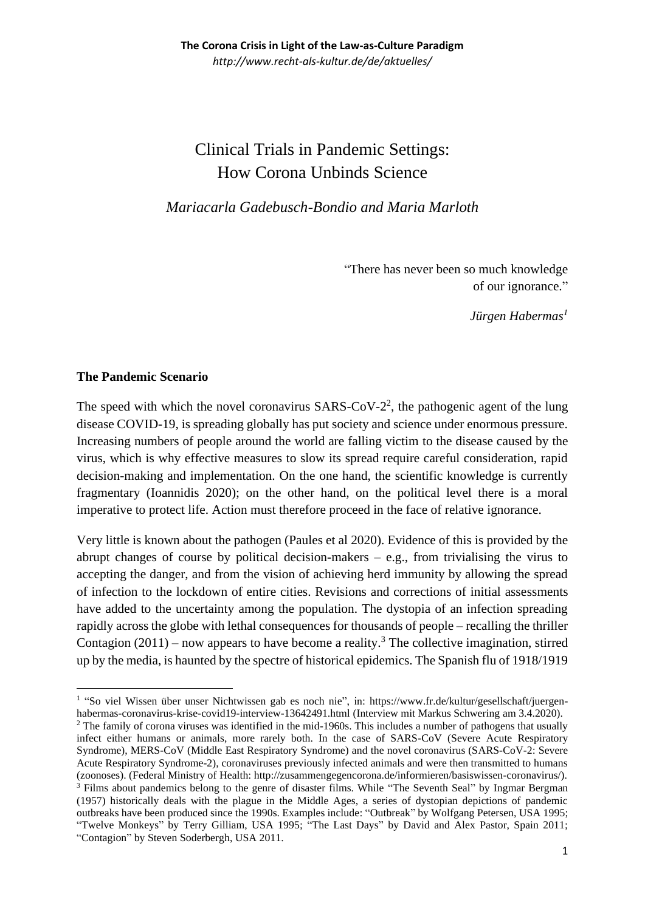# Clinical Trials in Pandemic Settings: How Corona Unbinds Science

*Mariacarla Gadebusch-Bondio and Maria Marloth*

 "There has never been so much knowledge of our ignorance."

*Jürgen Habermas<sup>1</sup>*

### **The Pandemic Scenario**

The speed with which the novel coronavirus  $SARS-CoV-2<sup>2</sup>$ , the pathogenic agent of the lung disease COVID-19, is spreading globally has put society and science under enormous pressure. Increasing numbers of people around the world are falling victim to the disease caused by the virus, which is why effective measures to slow its spread require careful consideration, rapid decision-making and implementation. On the one hand, the scientific knowledge is currently fragmentary (Ioannidis 2020); on the other hand, on the political level there is a moral imperative to protect life. Action must therefore proceed in the face of relative ignorance.

Very little is known about the pathogen (Paules et al 2020). Evidence of this is provided by the abrupt changes of course by political decision-makers  $-$  e.g., from trivialising the virus to accepting the danger, and from the vision of achieving herd immunity by allowing the spread of infection to the lockdown of entire cities. Revisions and corrections of initial assessments have added to the uncertainty among the population. The dystopia of an infection spreading rapidly across the globe with lethal consequences for thousands of people – recalling the thriller Contagion  $(2011)$  – now appears to have become a reality.<sup>3</sup> The collective imagination, stirred up by the media, is haunted by the spectre of historical epidemics. The Spanish flu of 1918/1919

<sup>&</sup>lt;sup>1</sup> "So viel Wissen über unser Nichtwissen gab es noch nie", in: [https://www.fr.de/kultur/gesellschaft/juergen](https://www.fr.de/kultur/gesellschaft/juergen-habermas-coronavirus-krise-covid19-interview-13642491.html)[habermas-coronavirus-krise-covid19-interview-13642491.html](https://www.fr.de/kultur/gesellschaft/juergen-habermas-coronavirus-krise-covid19-interview-13642491.html) (Interview mit Markus Schwering am 3.4.2020).

<sup>&</sup>lt;sup>2</sup> The family of corona viruses was identified in the mid-1960s. This includes a number of pathogens that usually infect either humans or animals, more rarely both. In the case of SARS-CoV (Severe Acute Respiratory Syndrome), MERS-CoV (Middle East Respiratory Syndrome) and the novel coronavirus (SARS-CoV-2: Severe Acute Respiratory Syndrome-2), coronaviruses previously infected animals and were then transmitted to humans (zoonoses). (Federal Ministry of Health: http://zusammengegencorona.de/informieren/basiswissen-coronavirus/). <sup>3</sup> Films about pandemics belong to the genre of disaster films. While "The Seventh Seal" by Ingmar Bergman (1957) historically deals with the plague in the Middle Ages, a series of dystopian depictions of pandemic outbreaks have been produced since the 1990s. Examples include: "Outbreak" by Wolfgang Petersen, USA 1995; "Twelve Monkeys" by Terry Gilliam, USA 1995; "The Last Days" by David and Alex Pastor, Spain 2011; "Contagion" by Steven Soderbergh, USA 2011.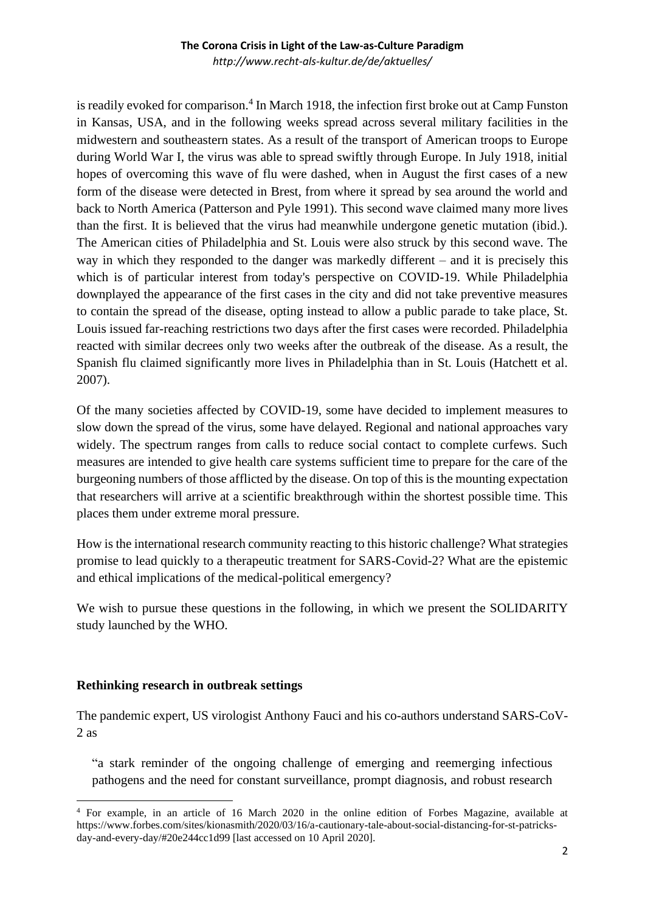*http://www.recht-als-kultur.de/de/aktuelles/*

is readily evoked for comparison.<sup>4</sup> In March 1918, the infection first broke out at Camp Funston in Kansas, USA, and in the following weeks spread across several military facilities in the midwestern and southeastern states. As a result of the transport of American troops to Europe during World War I, the virus was able to spread swiftly through Europe. In July 1918, initial hopes of overcoming this wave of flu were dashed, when in August the first cases of a new form of the disease were detected in Brest, from where it spread by sea around the world and back to North America (Patterson and Pyle 1991). This second wave claimed many more lives than the first. It is believed that the virus had meanwhile undergone genetic mutation (ibid.). The American cities of Philadelphia and St. Louis were also struck by this second wave. The way in which they responded to the danger was markedly different – and it is precisely this which is of particular interest from today's perspective on COVID-19. While Philadelphia downplayed the appearance of the first cases in the city and did not take preventive measures to contain the spread of the disease, opting instead to allow a public parade to take place, St. Louis issued far-reaching restrictions two days after the first cases were recorded. Philadelphia reacted with similar decrees only two weeks after the outbreak of the disease. As a result, the Spanish flu claimed significantly more lives in Philadelphia than in St. Louis (Hatchett et al. 2007).

Of the many societies affected by COVID-19, some have decided to implement measures to slow down the spread of the virus, some have delayed. Regional and national approaches vary widely. The spectrum ranges from calls to reduce social contact to complete curfews. Such measures are intended to give health care systems sufficient time to prepare for the care of the burgeoning numbers of those afflicted by the disease. On top of this is the mounting expectation that researchers will arrive at a scientific breakthrough within the shortest possible time. This places them under extreme moral pressure.

How is the international research community reacting to this historic challenge? What strategies promise to lead quickly to a therapeutic treatment for SARS-Covid-2? What are the epistemic and ethical implications of the medical-political emergency?

We wish to pursue these questions in the following, in which we present the SOLIDARITY study launched by the WHO.

### **Rethinking research in outbreak settings**

The pandemic expert, US virologist Anthony Fauci and his co-authors understand SARS-CoV-2 as

"a stark reminder of the ongoing challenge of emerging and reemerging infectious pathogens and the need for constant surveillance, prompt diagnosis, and robust research

<sup>4</sup> For example, in an article of 16 March 2020 in the online edition of Forbes Magazine, available at https://www.forbes.com/sites/kionasmith/2020/03/16/a-cautionary-tale-about-social-distancing-for-st-patricksday-and-every-day/#20e244cc1d99 [last accessed on 10 April 2020].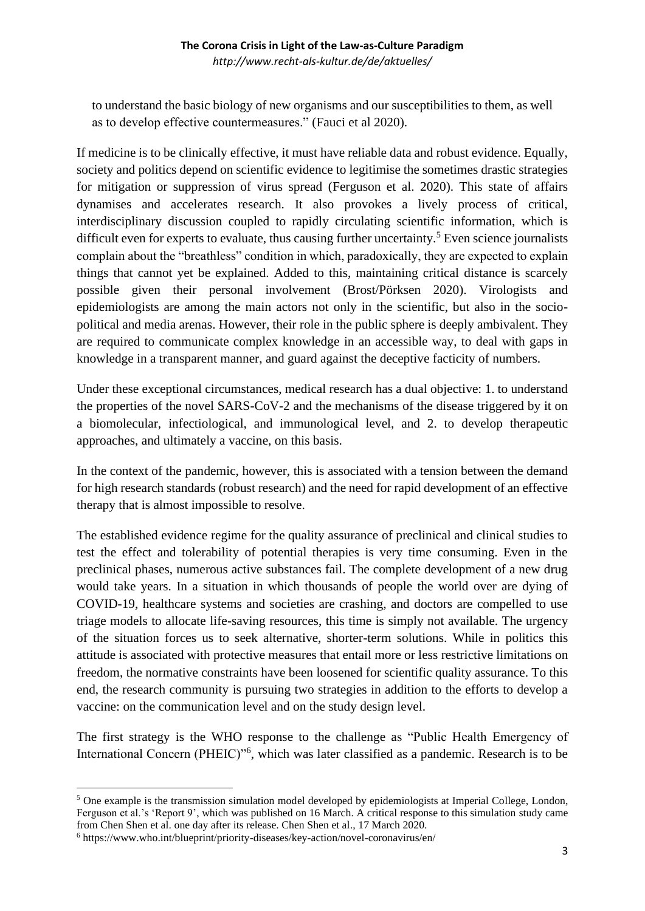*http://www.recht-als-kultur.de/de/aktuelles/*

to understand the basic biology of new organisms and our susceptibilities to them, as well as to develop effective countermeasures." (Fauci et al 2020).

If medicine is to be clinically effective, it must have reliable data and robust evidence. Equally, society and politics depend on scientific evidence to legitimise the sometimes drastic strategies for mitigation or suppression of virus spread (Ferguson et al. 2020). This state of affairs dynamises and accelerates research. It also provokes a lively process of critical, interdisciplinary discussion coupled to rapidly circulating scientific information, which is difficult even for experts to evaluate, thus causing further uncertainty.<sup>5</sup> Even science journalists complain about the "breathless" condition in which, paradoxically, they are expected to explain things that cannot yet be explained. Added to this, maintaining critical distance is scarcely possible given their personal involvement (Brost/Pörksen 2020). Virologists and epidemiologists are among the main actors not only in the scientific, but also in the sociopolitical and media arenas. However, their role in the public sphere is deeply ambivalent. They are required to communicate complex knowledge in an accessible way, to deal with gaps in knowledge in a transparent manner, and guard against the deceptive facticity of numbers.

Under these exceptional circumstances, medical research has a dual objective: 1. to understand the properties of the novel SARS-CoV-2 and the mechanisms of the disease triggered by it on a biomolecular, infectiological, and immunological level, and 2. to develop therapeutic approaches, and ultimately a vaccine, on this basis.

In the context of the pandemic, however, this is associated with a tension between the demand for high research standards (robust research) and the need for rapid development of an effective therapy that is almost impossible to resolve.

The established evidence regime for the quality assurance of preclinical and clinical studies to test the effect and tolerability of potential therapies is very time consuming. Even in the preclinical phases, numerous active substances fail. The complete development of a new drug would take years. In a situation in which thousands of people the world over are dying of COVID-19, healthcare systems and societies are crashing, and doctors are compelled to use triage models to allocate life-saving resources, this time is simply not available. The urgency of the situation forces us to seek alternative, shorter-term solutions. While in politics this attitude is associated with protective measures that entail more or less restrictive limitations on freedom, the normative constraints have been loosened for scientific quality assurance. To this end, the research community is pursuing two strategies in addition to the efforts to develop a vaccine: on the communication level and on the study design level.

The first strategy is the WHO response to the challenge as "Public Health Emergency of International Concern (PHEIC)<sup>16</sup>, which was later classified as a pandemic. Research is to be

<sup>&</sup>lt;sup>5</sup> One example is the transmission simulation model developed by epidemiologists at Imperial College, London, Ferguson et al.'s 'Report 9', which was published on 16 March. A critical response to this simulation study came from Chen Shen et al. one day after its release. Chen Shen et al., 17 March 2020.

<sup>6</sup> https://www.who.int/blueprint/priority-diseases/key-action/novel-coronavirus/en/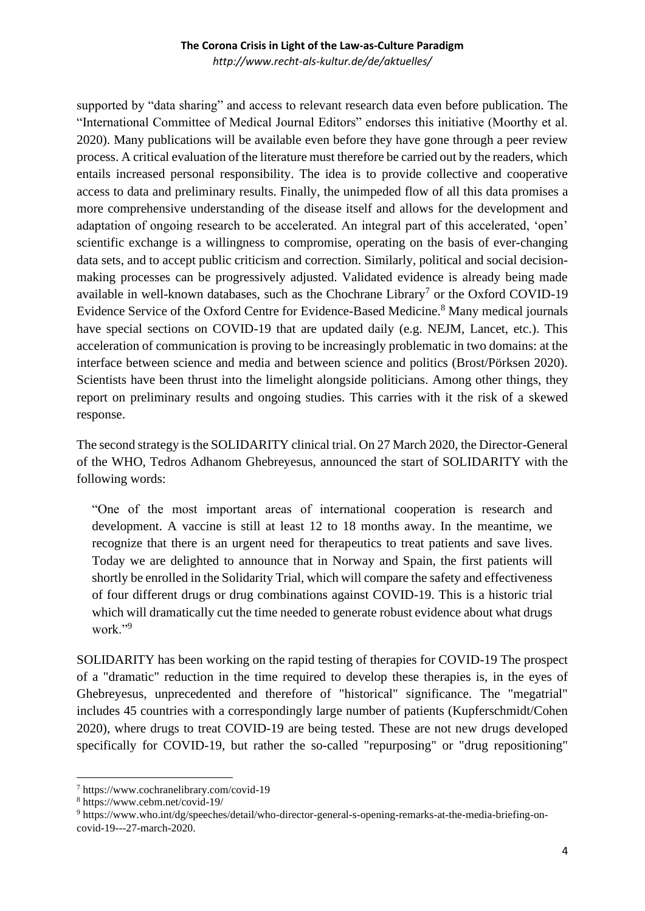*http://www.recht-als-kultur.de/de/aktuelles/*

supported by "data sharing" and access to relevant research data even before publication. The "International Committee of Medical Journal Editors" endorses this initiative (Moorthy et al. 2020). Many publications will be available even before they have gone through a peer review process. A critical evaluation of the literature must therefore be carried out by the readers, which entails increased personal responsibility. The idea is to provide collective and cooperative access to data and preliminary results. Finally, the unimpeded flow of all this data promises a more comprehensive understanding of the disease itself and allows for the development and adaptation of ongoing research to be accelerated. An integral part of this accelerated, 'open' scientific exchange is a willingness to compromise, operating on the basis of ever-changing data sets, and to accept public criticism and correction. Similarly, political and social decisionmaking processes can be progressively adjusted. Validated evidence is already being made available in well-known databases, such as the Chochrane Library<sup>7</sup> or the Oxford COVID-19 Evidence Service of the Oxford Centre for Evidence-Based Medicine.<sup>8</sup> Many medical journals have special sections on COVID-19 that are updated daily (e.g. NEJM, Lancet, etc.). This acceleration of communication is proving to be increasingly problematic in two domains: at the interface between science and media and between science and politics (Brost/Pörksen 2020). Scientists have been thrust into the limelight alongside politicians. Among other things, they report on preliminary results and ongoing studies. This carries with it the risk of a skewed response.

The second strategy is the SOLIDARITY clinical trial. On 27 March 2020, the Director-General of the WHO, Tedros Adhanom Ghebreyesus, announced the start of SOLIDARITY with the following words:

"One of the most important areas of international cooperation is research and development. A vaccine is still at least 12 to 18 months away. In the meantime, we recognize that there is an urgent need for therapeutics to treat patients and save lives. Today we are delighted to announce that in Norway and Spain, the first patients will shortly be enrolled in the Solidarity Trial, which will compare the safety and effectiveness of four different drugs or drug combinations against COVID-19. This is a historic trial which will dramatically cut the time needed to generate robust evidence about what drugs work."<sup>9</sup>

SOLIDARITY has been working on the rapid testing of therapies for COVID-19 The prospect of a "dramatic" reduction in the time required to develop these therapies is, in the eyes of Ghebreyesus, unprecedented and therefore of "historical" significance. The "megatrial" includes 45 countries with a correspondingly large number of patients (Kupferschmidt/Cohen 2020), where drugs to treat COVID-19 are being tested. These are not new drugs developed specifically for COVID-19, but rather the so-called "repurposing" or "drug repositioning"

<sup>7</sup> https://www.cochranelibrary.com/covid-19

<sup>8</sup> https://www.cebm.net/covid-19/

<sup>9</sup> https://www.who.int/dg/speeches/detail/who-director-general-s-opening-remarks-at-the-media-briefing-oncovid-19---27-march-2020.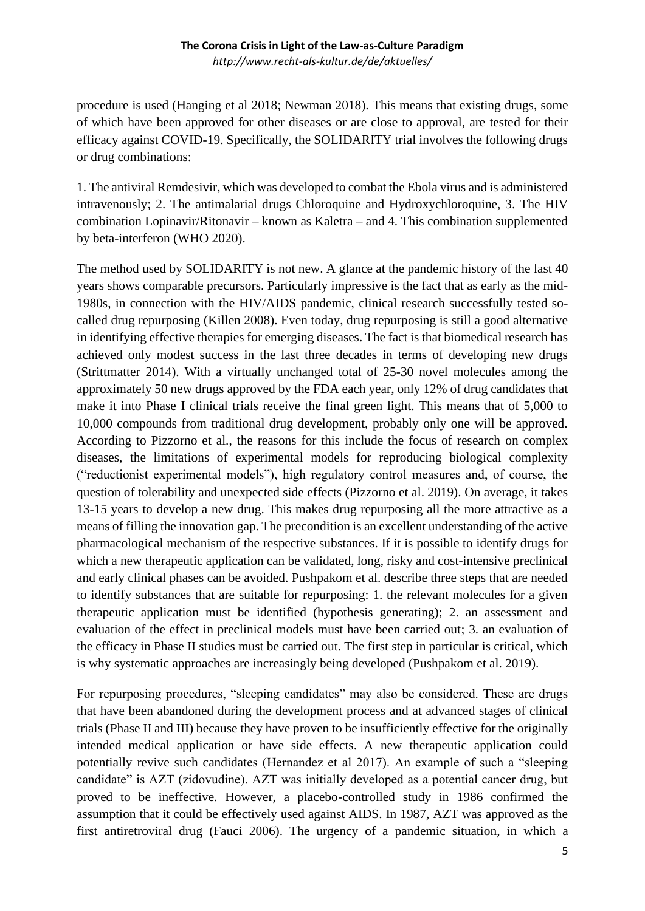procedure is used (Hanging et al 2018; Newman 2018). This means that existing drugs, some of which have been approved for other diseases or are close to approval, are tested for their efficacy against COVID-19. Specifically, the SOLIDARITY trial involves the following drugs or drug combinations:

1. The antiviral Remdesivir, which was developed to combat the Ebola virus and is administered intravenously; 2. The antimalarial drugs Chloroquine and Hydroxychloroquine, 3. The HIV combination Lopinavir/Ritonavir – known as Kaletra – and 4. This combination supplemented by beta-interferon (WHO 2020).

The method used by SOLIDARITY is not new. A glance at the pandemic history of the last 40 years shows comparable precursors. Particularly impressive is the fact that as early as the mid-1980s, in connection with the HIV/AIDS pandemic, clinical research successfully tested socalled drug repurposing (Killen 2008). Even today, drug repurposing is still a good alternative in identifying effective therapies for emerging diseases. The fact is that biomedical research has achieved only modest success in the last three decades in terms of developing new drugs (Strittmatter 2014). With a virtually unchanged total of 25-30 novel molecules among the approximately 50 new drugs approved by the FDA each year, only 12% of drug candidates that make it into Phase I clinical trials receive the final green light. This means that of 5,000 to 10,000 compounds from traditional drug development, probably only one will be approved. According to Pizzorno et al., the reasons for this include the focus of research on complex diseases, the limitations of experimental models for reproducing biological complexity ("reductionist experimental models"), high regulatory control measures and, of course, the question of tolerability and unexpected side effects (Pizzorno et al. 2019). On average, it takes 13-15 years to develop a new drug. This makes drug repurposing all the more attractive as a means of filling the innovation gap. The precondition is an excellent understanding of the active pharmacological mechanism of the respective substances. If it is possible to identify drugs for which a new therapeutic application can be validated, long, risky and cost-intensive preclinical and early clinical phases can be avoided. Pushpakom et al. describe three steps that are needed to identify substances that are suitable for repurposing: 1. the relevant molecules for a given therapeutic application must be identified (hypothesis generating); 2. an assessment and evaluation of the effect in preclinical models must have been carried out; 3. an evaluation of the efficacy in Phase II studies must be carried out. The first step in particular is critical, which is why systematic approaches are increasingly being developed (Pushpakom et al. 2019).

For repurposing procedures, "sleeping candidates" may also be considered. These are drugs that have been abandoned during the development process and at advanced stages of clinical trials (Phase II and III) because they have proven to be insufficiently effective for the originally intended medical application or have side effects. A new therapeutic application could potentially revive such candidates (Hernandez et al 2017). An example of such a "sleeping candidate" is AZT (zidovudine). AZT was initially developed as a potential cancer drug, but proved to be ineffective. However, a placebo-controlled study in 1986 confirmed the assumption that it could be effectively used against AIDS. In 1987, AZT was approved as the first antiretroviral drug (Fauci 2006). The urgency of a pandemic situation, in which a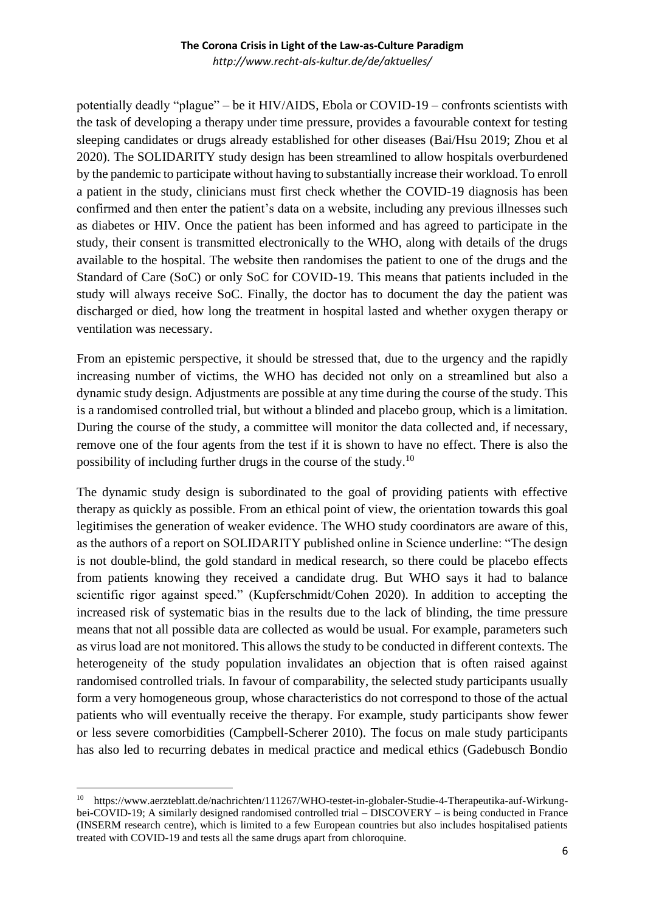#### **The Corona Crisis in Light of the Law-as-Culture Paradigm** *http://www.recht-als-kultur.de/de/aktuelles/*

potentially deadly "plague" – be it HIV/AIDS, Ebola or COVID-19 – confronts scientists with the task of developing a therapy under time pressure, provides a favourable context for testing sleeping candidates or drugs already established for other diseases (Bai/Hsu 2019; Zhou et al 2020). The SOLIDARITY study design has been streamlined to allow hospitals overburdened by the pandemic to participate without having to substantially increase their workload. To enroll a patient in the study, clinicians must first check whether the COVID-19 diagnosis has been confirmed and then enter the patient's data on a website, including any previous illnesses such as diabetes or HIV. Once the patient has been informed and has agreed to participate in the study, their consent is transmitted electronically to the WHO, along with details of the drugs available to the hospital. The website then randomises the patient to one of the drugs and the Standard of Care (SoC) or only SoC for COVID-19. This means that patients included in the study will always receive SoC. Finally, the doctor has to document the day the patient was discharged or died, how long the treatment in hospital lasted and whether oxygen therapy or ventilation was necessary.

From an epistemic perspective, it should be stressed that, due to the urgency and the rapidly increasing number of victims, the WHO has decided not only on a streamlined but also a dynamic study design. Adjustments are possible at any time during the course of the study. This is a randomised controlled trial, but without a blinded and placebo group, which is a limitation. During the course of the study, a committee will monitor the data collected and, if necessary, remove one of the four agents from the test if it is shown to have no effect. There is also the possibility of including further drugs in the course of the study.<sup>10</sup>

The dynamic study design is subordinated to the goal of providing patients with effective therapy as quickly as possible. From an ethical point of view, the orientation towards this goal legitimises the generation of weaker evidence. The WHO study coordinators are aware of this, as the authors of a report on SOLIDARITY published online in Science underline: "The design is not double-blind, the gold standard in medical research, so there could be placebo effects from patients knowing they received a candidate drug. But WHO says it had to balance scientific rigor against speed." (Kupferschmidt/Cohen 2020). In addition to accepting the increased risk of systematic bias in the results due to the lack of blinding, the time pressure means that not all possible data are collected as would be usual. For example, parameters such as virus load are not monitored. This allows the study to be conducted in different contexts. The heterogeneity of the study population invalidates an objection that is often raised against randomised controlled trials. In favour of comparability, the selected study participants usually form a very homogeneous group, whose characteristics do not correspond to those of the actual patients who will eventually receive the therapy. For example, study participants show fewer or less severe comorbidities (Campbell-Scherer 2010). The focus on male study participants has also led to recurring debates in medical practice and medical ethics (Gadebusch Bondio

<sup>10</sup> https://www.aerzteblatt.de/nachrichten/111267/WHO-testet-in-globaler-Studie-4-Therapeutika-auf-Wirkungbei-COVID-19; A similarly designed randomised controlled trial – DISCOVERY – is being conducted in France (INSERM research centre), which is limited to a few European countries but also includes hospitalised patients treated with COVID-19 and tests all the same drugs apart from chloroquine.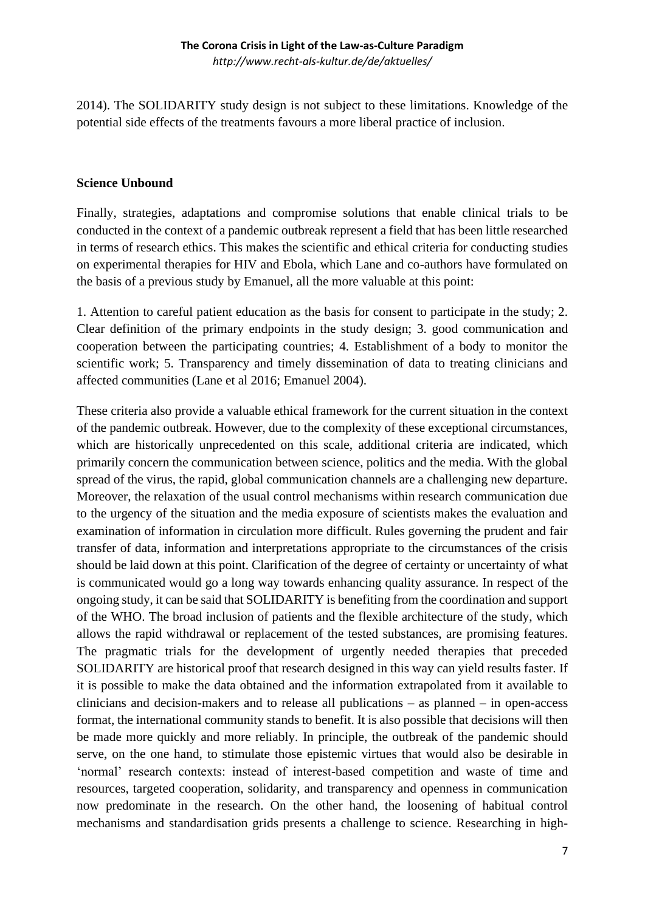*http://www.recht-als-kultur.de/de/aktuelles/*

2014). The SOLIDARITY study design is not subject to these limitations. Knowledge of the potential side effects of the treatments favours a more liberal practice of inclusion.

# **Science Unbound**

Finally, strategies, adaptations and compromise solutions that enable clinical trials to be conducted in the context of a pandemic outbreak represent a field that has been little researched in terms of research ethics. This makes the scientific and ethical criteria for conducting studies on experimental therapies for HIV and Ebola, which Lane and co-authors have formulated on the basis of a previous study by Emanuel, all the more valuable at this point:

1. Attention to careful patient education as the basis for consent to participate in the study; 2. Clear definition of the primary endpoints in the study design; 3. good communication and cooperation between the participating countries; 4. Establishment of a body to monitor the scientific work; 5. Transparency and timely dissemination of data to treating clinicians and affected communities (Lane et al 2016; Emanuel 2004).

These criteria also provide a valuable ethical framework for the current situation in the context of the pandemic outbreak. However, due to the complexity of these exceptional circumstances, which are historically unprecedented on this scale, additional criteria are indicated, which primarily concern the communication between science, politics and the media. With the global spread of the virus, the rapid, global communication channels are a challenging new departure. Moreover, the relaxation of the usual control mechanisms within research communication due to the urgency of the situation and the media exposure of scientists makes the evaluation and examination of information in circulation more difficult. Rules governing the prudent and fair transfer of data, information and interpretations appropriate to the circumstances of the crisis should be laid down at this point. Clarification of the degree of certainty or uncertainty of what is communicated would go a long way towards enhancing quality assurance. In respect of the ongoing study, it can be said that SOLIDARITY is benefiting from the coordination and support of the WHO. The broad inclusion of patients and the flexible architecture of the study, which allows the rapid withdrawal or replacement of the tested substances, are promising features. The pragmatic trials for the development of urgently needed therapies that preceded SOLIDARITY are historical proof that research designed in this way can yield results faster. If it is possible to make the data obtained and the information extrapolated from it available to clinicians and decision-makers and to release all publications – as planned – in open-access format, the international community stands to benefit. It is also possible that decisions will then be made more quickly and more reliably. In principle, the outbreak of the pandemic should serve, on the one hand, to stimulate those epistemic virtues that would also be desirable in 'normal' research contexts: instead of interest-based competition and waste of time and resources, targeted cooperation, solidarity, and transparency and openness in communication now predominate in the research. On the other hand, the loosening of habitual control mechanisms and standardisation grids presents a challenge to science. Researching in high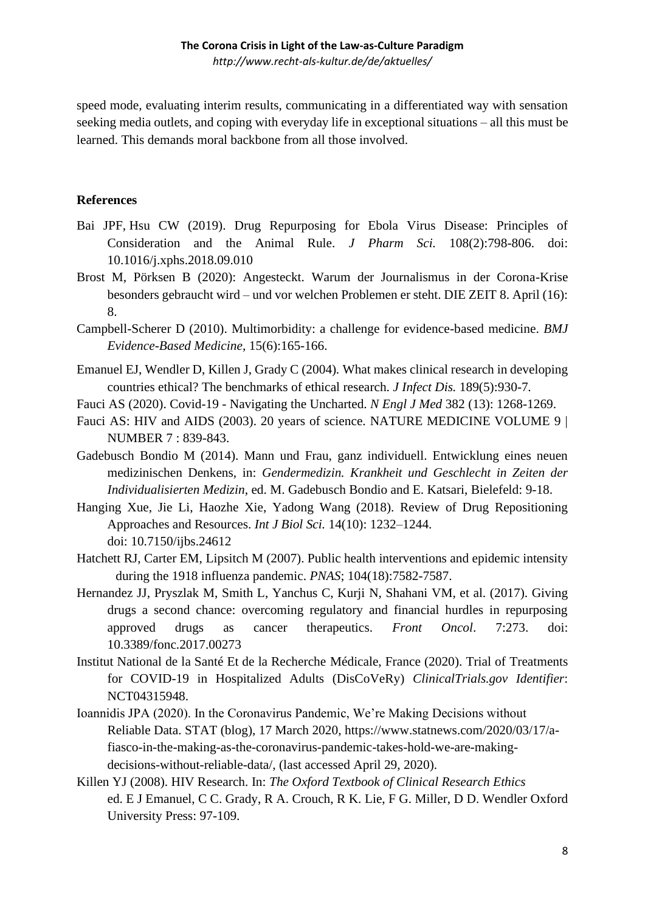*http://www.recht-als-kultur.de/de/aktuelles/*

speed mode, evaluating interim results, communicating in a differentiated way with sensation seeking media outlets, and coping with everyday life in exceptional situations – all this must be learned. This demands moral backbone from all those involved.

## **References**

- [Bai JPF,](https://www.ncbi.nlm.nih.gov/pubmed/?term=Bai%20JPF%5BAuthor%5D&cauthor=true&cauthor_uid=30244014) [Hsu CW](https://www.ncbi.nlm.nih.gov/pubmed/?term=Hsu%20CW%5BAuthor%5D&cauthor=true&cauthor_uid=30244014) (2019). Drug Repurposing for Ebola Virus Disease: Principles of Consideration and the Animal Rule. *[J Pharm Sci.](https://www.ncbi.nlm.nih.gov/pubmed/30244014)* 108(2):798-806. doi: 10.1016/j.xphs.2018.09.010
- Brost M, Pörksen B (2020): Angesteckt. Warum der Journalismus in der Corona-Krise besonders gebraucht wird – und vor welchen Problemen er steht. DIE ZEIT 8. April (16): 8.
- Campbell-Scherer D (2010). Multimorbidity: a challenge for evidence-based medicine. *BMJ Evidence-Based Medicine*, 15(6):165-166.
- Emanuel EJ, Wendler D, Killen J, Grady C (2004)*.* What makes clinical research in developing countries ethical? The benchmarks of ethical research. *J Infect Dis.* 189(5):930-7*.*
- Fauci AS (2020). Covid-19 Navigating the Uncharted. *N Engl J Med* 382 (13): 1268-1269.
- Fauci AS: HIV and AIDS (2003). 20 years of science. NATURE MEDICINE VOLUME 9 | NUMBER 7 : 839-843.
- Gadebusch Bondio M (2014). Mann und Frau, ganz individuell. Entwicklung eines neuen medizinischen Denkens, in: *Gendermedizin. Krankheit und Geschlecht in Zeiten der Individualisierten Medizin*, ed. M. Gadebusch Bondio and E. Katsari, Bielefeld: 9-18.
- Hanging Xue, Jie Li, Haozhe Xie, Yadong Wang (2018). Review of Drug Repositioning Approaches and Resources. *[Int J Biol Sci.](https://www.ncbi.nlm.nih.gov/pmc/articles/PMC6097480/)* 14(10): 1232–1244. doi: [10.7150/ijbs.24612](https://dx.doi.org/10.7150%2Fijbs.24612)
- Hatchett RJ, Carter EM, Lipsitch M (2007). Public health interventions and epidemic intensity during the 1918 influenza pandemic. *PNAS*; 104(18):7582-7587.
- Hernandez JJ, Pryszlak M, Smith L, Yanchus C, Kurji N, Shahani VM, et al. (2017). Giving drugs a second chance: overcoming regulatory and financial hurdles in repurposing approved drugs as cancer therapeutics. *Front Oncol*. 7:273. doi: 10.3389/fonc.2017.00273
- Institut National de la Santé Et de la Recherche Médicale, France (2020). Trial of Treatments for COVID-19 in Hospitalized Adults (DisCoVeRy) *ClinicalTrials.gov Identifier*: [NCT04315948.](https://clinicaltrials.gov/show/NCT04315948)
- Ioannidis JPA (2020). In the Coronavirus Pandemic, We're Making Decisions without Reliable Data. STAT (blog), 17 March 2020, [https://www.statnews.com/2020/03/17/a](https://www.statnews.com/2020/03/17/a-fiasco-in-the-making-as-the-coronavirus-pandemic-takes-hold-we-are-making-decisions-without-reliable-data/)[fiasco-in-the-making-as-the-coronavirus-pandemic-takes-hold-we-are-making](https://www.statnews.com/2020/03/17/a-fiasco-in-the-making-as-the-coronavirus-pandemic-takes-hold-we-are-making-decisions-without-reliable-data/)[decisions-without-reliable-data/,](https://www.statnews.com/2020/03/17/a-fiasco-in-the-making-as-the-coronavirus-pandemic-takes-hold-we-are-making-decisions-without-reliable-data/) (last accessed April 29, 2020).
- Killen YJ (2008). HIV Research. In: *The Oxford Textbook of Clinical Research Ethics* ed. E J Emanuel, C C. Grady, R A. Crouch, R K. Lie, F G. Miller, D D. Wendler Oxford University Press: 97-109.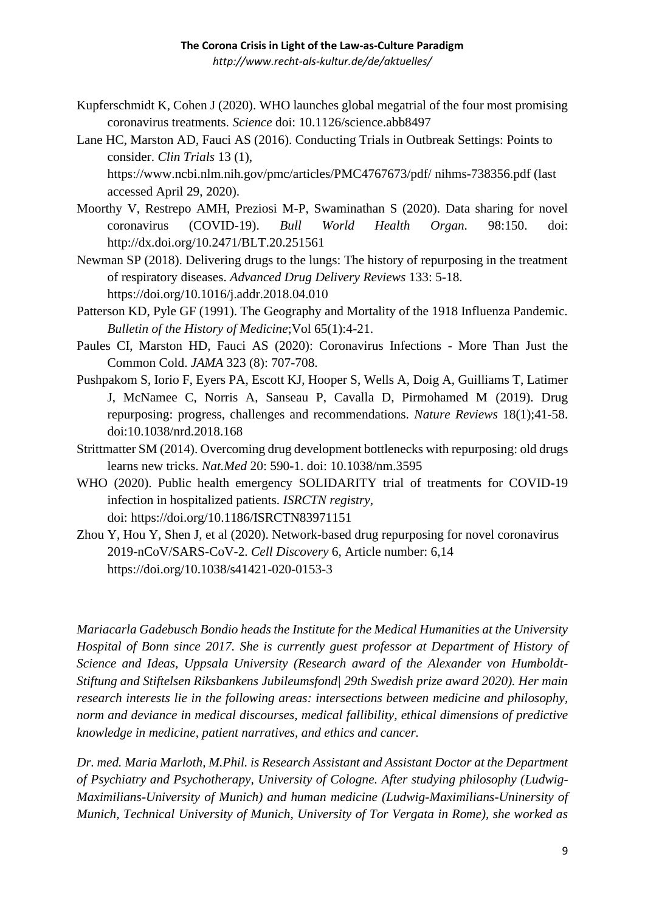*http://www.recht-als-kultur.de/de/aktuelles/*

- Kupferschmidt K, Cohen J (2020). WHO launches global megatrial of the four most promising coronavirus treatments. *Science* doi: 10.1126/science.abb8497
- Lane HC, Marston AD, Fauci AS (2016). Conducting Trials in Outbreak Settings: Points to consider. *Clin Trials* 13 (1), [https://www.ncbi.nlm.nih.gov/pmc/articles/PMC4767673/pdf/](https://www.ncbi.nlm.nih.gov/pmc/articles/PMC4767673/pdf/%20nihms-738356.pdf) nihms-738356.pdf (last

accessed April 29, 2020).

- Moorthy V, Restrepo AMH, Preziosi M-P, Swaminathan S (2020). Data sharing for novel coronavirus (COVID-19). *Bull World Health Organ.* 98:150. doi: <http://dx.doi.org/10.2471/BLT.20.251561>
- Newman SP (2018). Delivering drugs to the lungs: The history of repurposing in the treatment of respiratory diseases. *Advanced Drug Delivery Reviews* 133: 5-18. <https://doi.org/10.1016/j.addr.2018.04.010>
- Patterson KD, Pyle GF (1991). The Geography and Mortality of the 1918 Influenza Pandemic. *Bulletin of the History of Medicine*;Vol 65(1):4-21.
- Paules CI, Marston HD, Fauci AS (2020): Coronavirus Infections More Than Just the Common Cold. *JAMA* 323 (8): 707-708.
- Pushpakom S, Iorio F, Eyers PA, Escott KJ, Hooper S, Wells A, Doig A, Guilliams T, Latimer J, McNamee C, Norris A, Sanseau P, Cavalla D, Pirmohamed M (2019). Drug repurposing: progress, challenges and recommendations. *Nature Reviews* 18(1);41-58. doi[:10.1038/nrd.2018.168](https://doi.org/10.1038/nrd.2018.168)
- Strittmatter SM (2014). Overcoming drug development bottlenecks with repurposing: old drugs learns new tricks. *Nat.Med* 20: 590-1. doi: 10.1038/nm.3595
- WHO (2020). Public health emergency SOLIDARITY trial of treatments for COVID-19 infection in hospitalized patients. *ISRCTN registry*, doi:<https://doi.org/10.1186/ISRCTN83971151>
- Zhou Y, Hou Y, Shen J, et al (2020). Network-based drug repurposing for novel coronavirus 2019-nCoV/SARS-CoV-2. *[Cell Discovery](https://www.nature.com/celldisc)* 6, Article number: 6,14 https://doi.org/10.1038/s41421-020-0153-3

*Mariacarla Gadebusch Bondio heads the Institute for the Medical Humanities at the University Hospital of Bonn since 2017. She is currently guest professor at Department of History of Science and Ideas, Uppsala University (Research award of the Alexander von Humboldt-Stiftung and Stiftelsen Riksbankens Jubileumsfond| 29th Swedish prize award 2020). Her main research interests lie in the following areas: intersections between medicine and philosophy, norm and deviance in medical discourses, medical fallibility, ethical dimensions of predictive knowledge in medicine, patient narratives, and ethics and cancer.*

*Dr. med. Maria Marloth, M.Phil. is Research Assistant and Assistant Doctor at the Department of Psychiatry and Psychotherapy, University of Cologne. After studying philosophy (Ludwig-Maximilians-University of Munich) and human medicine (Ludwig-Maximilians-Uninersity of Munich, Technical University of Munich, University of Tor Vergata in Rome), she worked as*